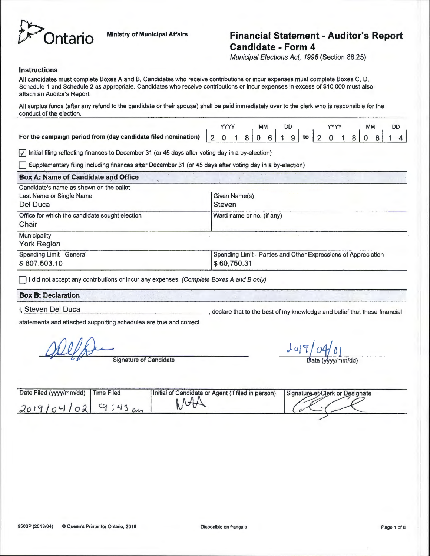

# **Ontario** Ministry of Municipal Affairs **Financial Statement - Auditor's Report Candidate - Form 4**

Municipal Elections Act, 1996 (Section 88.25)

### **Instructions**

All candidates must complete Boxes A and B. Candidates who receive contributions or incur expenses must complete Boxes C, D, Schedule 1 and Schedule 2 as appropriate. Candidates who receive contributions or incur expenses in excess of \$10,000 must also attach an Auditor's Report.

All surplus funds (after any refund to the candidate or their spouse) shall be paid immediately over to the clerk who is responsible for the conduct of the election.

|  |  | мм |  |  |  |  | МM |  |  |
|--|--|----|--|--|--|--|----|--|--|
|  |  |    |  |  |  |  |    |  |  |

[Z] Initial filing reflecting finances to December 31 (or 45 days after voting day in a by-election)

Supplementary filing including finances after December 31 (or 45 days after voting day in a by-election)

| Candidate's name as shown on the ballot                 |                                                                |
|---------------------------------------------------------|----------------------------------------------------------------|
| Last Name or Single Name                                | Given Name(s)                                                  |
| Del Duca                                                | <b>Steven</b>                                                  |
| Office for which the candidate sought election<br>Chair | Ward name or no. (if any)                                      |
| Municipality<br><b>York Region</b>                      |                                                                |
| <b>Spending Limit - General</b>                         | Spending Limit - Parties and Other Expressions of Appreciation |
| \$607,503.10                                            | \$60,750.31                                                    |

I did not accept any contributions or incur any expenses. (Complete Boxes A and B only)

## **Box B: Declaration**

I, \_S\_te\_v\_e\_n\_D\_e\_I\_D\_u\_c.:\_a \_\_\_\_\_\_\_\_\_\_\_\_\_\_\_ , declare that to the best of my knowledge and belief that these financial

statements and attached supporting schedules are true and correct.

Signature of Candidate

 $J \circ [7/O4/0]$ 

| Date Filed (yyyy/mm/dd) | <b>Time Filed</b> | Initial of Candidate or Agent (if filed in person) | Signature of Clerk or Designate |
|-------------------------|-------------------|----------------------------------------------------|---------------------------------|
|                         |                   |                                                    |                                 |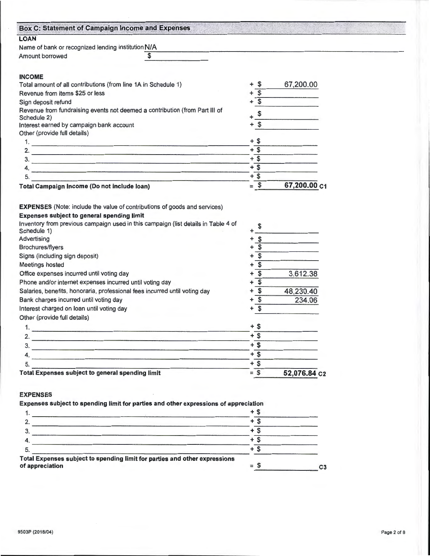| <b>Box C: Statement of Campaign Income and Expenses</b>                                                                                                                                                                                    |                               |              |  |
|--------------------------------------------------------------------------------------------------------------------------------------------------------------------------------------------------------------------------------------------|-------------------------------|--------------|--|
| <b>LOAN</b>                                                                                                                                                                                                                                |                               |              |  |
| Name of bank or recognized lending institution N/A                                                                                                                                                                                         |                               |              |  |
| \$<br>Amount borrowed                                                                                                                                                                                                                      |                               |              |  |
| <b>INCOME</b>                                                                                                                                                                                                                              |                               |              |  |
| Total amount of all contributions (from line 1A in Schedule 1)                                                                                                                                                                             | $+$ \$                        | 67,200.00    |  |
| Revenue from items \$25 or less                                                                                                                                                                                                            | \$                            |              |  |
| Sign deposit refund                                                                                                                                                                                                                        | $\overline{\mathfrak{s}}$     |              |  |
| Revenue from fundraising events not deemed a contribution (from Part III of<br>Schedule 2)                                                                                                                                                 | $+$ \$                        |              |  |
| Interest earned by campaign bank account                                                                                                                                                                                                   | $+$ \$                        |              |  |
| Other (provide full details)                                                                                                                                                                                                               |                               |              |  |
| 1.<br><u> Andreas Andreas Andreas Andreas Andreas Andreas Andreas Andreas Andreas Andreas Andreas Andreas Andreas Andreas Andreas Andreas Andreas Andreas Andreas Andreas Andreas Andreas Andreas Andreas Andreas Andreas Andreas Andr</u> | + \$                          |              |  |
| 2.<br><u> 1989 - Johann Harry Harry Harry Harry Harry Harry Harry Harry Harry Harry Harry Harry Harry Harry Harry Harry</u>                                                                                                                | $+$ \$                        |              |  |
| $\overline{\mathbf{3.}}$                                                                                                                                                                                                                   | $+$ \$                        |              |  |
| 4.                                                                                                                                                                                                                                         | $+$ \$                        |              |  |
| 5.                                                                                                                                                                                                                                         | $+$ \$                        |              |  |
| Total Campaign Income (Do not include loan)                                                                                                                                                                                                | $=$ \$                        | 67,200.00 c1 |  |
| <b>EXPENSES</b> (Note: include the value of contributions of goods and services)                                                                                                                                                           |                               |              |  |
| Expenses subject to general spending limit                                                                                                                                                                                                 |                               |              |  |
| Inventory from previous campaign used in this campaign (list details in Table 4 of<br>Schedule 1)                                                                                                                                          | \$                            |              |  |
| Advertising                                                                                                                                                                                                                                | $\boldsymbol{\mathsf{s}}$     |              |  |
| Brochures/flyers                                                                                                                                                                                                                           | $\sqrt{3}$                    |              |  |
| Signs (including sign deposit)                                                                                                                                                                                                             | $\overline{\mathcal{F}}$      |              |  |
| Meetings hosted                                                                                                                                                                                                                            | \$<br>+                       |              |  |
| Office expenses incurred until voting day                                                                                                                                                                                                  | $\frac{1}{2}$<br>+            | 3,612.38     |  |
| Phone and/or internet expenses incurred until voting day                                                                                                                                                                                   | $\overline{\mathcal{L}}$      |              |  |
| Salaries, benefits, honoraria, professional fees incurred until voting day                                                                                                                                                                 | \$<br>+                       | 48,230.40    |  |
| Bank charges incurred until voting day                                                                                                                                                                                                     | $\overline{\mathcal{L}}$<br>+ | 234.06       |  |
| Interest charged on loan until voting day                                                                                                                                                                                                  | $+$ \$                        |              |  |
| Other (provide full details)                                                                                                                                                                                                               |                               |              |  |
| 1.                                                                                                                                                                                                                                         | + \$                          |              |  |
| 2.<br>the complete state of the complete state of the complete state of the complete state of the complete state of                                                                                                                        | د +                           |              |  |
|                                                                                                                                                                                                                                            | $+$ \$                        |              |  |
| 4.                                                                                                                                                                                                                                         | $+$ \$                        |              |  |
| <u> 1989 - Johann Harry Harry Harry Harry Harry Harry Harry Harry Harry Harry Harry Harry Harry Harry Harry Harry</u><br>5.                                                                                                                | $+$ \$                        |              |  |
| <b>Total Expenses subject to general spending limit</b>                                                                                                                                                                                    | $=$ \$                        | 52,076.84 c2 |  |
|                                                                                                                                                                                                                                            |                               |              |  |
|                                                                                                                                                                                                                                            |                               |              |  |
| <b>EXPENSES</b>                                                                                                                                                                                                                            |                               |              |  |
| Expenses subject to spending limit for parties and other expressions of appreciation                                                                                                                                                       |                               |              |  |
| 1.<br><u> 1989 - Johann Stone, marian al-Bandarík (b. 1989)</u>                                                                                                                                                                            | + \$                          |              |  |
| 2.                                                                                                                                                                                                                                         | $+$ \$                        |              |  |
| 3.<br><u> 2000 - Andrea Maria Andrea Andrea Andrea Andrea Andrea Andrea Andrea Andrea Andrea Andrea Andrea Andrea Andr</u>                                                                                                                 | $+$ \$                        |              |  |
| 4.<br>the control of the control of the control of the control of the control of the control of the control of the control of the control of the control of the control of the control of the control of the control of the control        | $+$ \$                        |              |  |
| 5.                                                                                                                                                                                                                                         | $+$ \$                        |              |  |
| Total Expenses subject to spending limit for parties and other expressions                                                                                                                                                                 |                               |              |  |

**of appreciation** <sup>=</sup>\$ C3 -------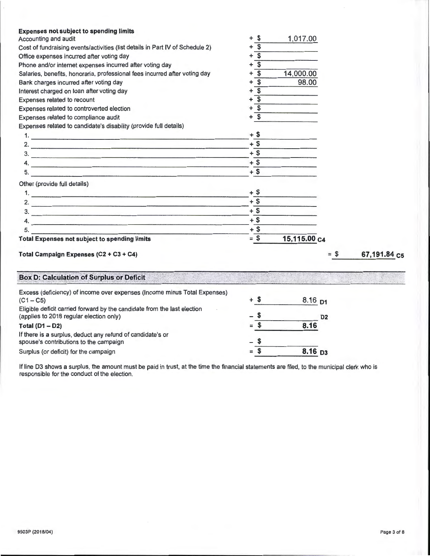| <b>Expenses not subject to spending limits</b>                                |   |                          |              |              |
|-------------------------------------------------------------------------------|---|--------------------------|--------------|--------------|
| Accounting and audit                                                          | + | - \$                     | 1,017.00     |              |
| Cost of fundraising events/activities (list details in Part IV of Schedule 2) | + | $\overline{\mathcal{S}}$ |              |              |
| Office expenses incurred after voting day                                     | + | $\sqrt{2}$               |              |              |
| Phone and/or internet expenses incurred after voting day                      | + | $\overline{\mathbf{s}}$  |              |              |
| Salaries, benefits, honorana, professional fees incurred after voting day     |   | \$                       | 14,000.00    |              |
| Bank charges incurred after voting day                                        | + | \$                       | 98.00        |              |
| Interest charged on loan after voting day                                     |   | $\overline{\mathbf{s}}$  |              |              |
| Expenses related to recount                                                   |   | $\overline{\mathbf{s}}$  |              |              |
| Expenses related to controverted election                                     | ÷ | $\overline{\mathbf{S}}$  |              |              |
| Expenses related to compliance audit                                          |   | \$                       |              |              |
| Expenses related to candidate's disability (provide full details)             |   |                          |              |              |
|                                                                               |   | $+$ \$                   |              |              |
| 2. $\blacksquare$                                                             |   | $+$ \$                   |              |              |
| $\frac{3}{2}$                                                                 |   | $+$ \$                   |              |              |
| 4.                                                                            |   | $+$ \$                   |              |              |
| 5.                                                                            |   | $+$ \$                   |              |              |
| Other (provide full details)                                                  |   |                          |              |              |
|                                                                               |   | $+$ \$                   |              |              |
| 2. $\blacksquare$                                                             |   | $+$ \$                   |              |              |
|                                                                               |   | $+$ \$                   |              |              |
| <u> 1980 - Jan Sammer, Amerikaansk politiker (* 1905)</u>                     |   | $+$ \$                   |              |              |
| 5.                                                                            |   | $+$ \$                   |              |              |
| <b>Total Expenses not subject to spending limits</b>                          |   | $= $$                    | 15,115.00 C4 |              |
| Total Campaign Expenses (C2 + C3 + C4)                                        |   |                          |              | 67,191.84 C5 |

| <b>Box D: Calculation of Surplus or Deficit</b>                                                                     |                          | and the company of the seal of the seal of the seal of the seal of the seal of the seal of the seal |  |
|---------------------------------------------------------------------------------------------------------------------|--------------------------|-----------------------------------------------------------------------------------------------------|--|
| Excess (deficiency) of income over expenses (Income minus Total Expenses)<br>$(C1 - C5)$                            |                          | $8.16_{D1}$                                                                                         |  |
| Eligible deficit carried forward by the candidate from the last election<br>(applies to 2018 regular election only) | $\overline{\phantom{0}}$ | D <sub>2</sub>                                                                                      |  |
| Total $(D1 - D2)$                                                                                                   | $=$                      | 8.16                                                                                                |  |
| If there is a surplus, deduct any refund of candidate's or<br>spouse's contributions to the campaign                |                          |                                                                                                     |  |
| Surplus (or deficit) for the campaign                                                                               | $=$                      | 8.16 D3                                                                                             |  |

If line 03 shows a surplus, the amount must be paid in trust, at the time the financial statements are filed, to the municipal clerk who is responsible for the conduct of the election.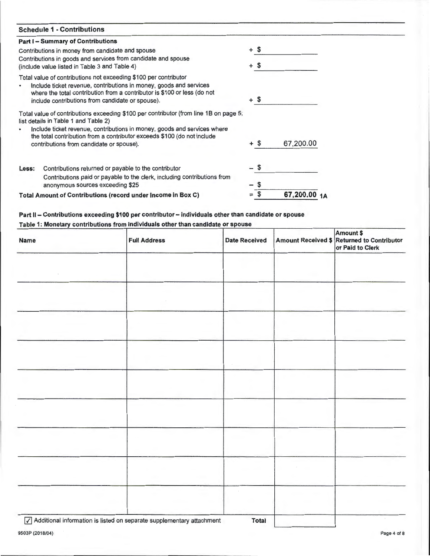| <b>Schedule 1 - Contributions</b>                                                                                                                                                                                                                                      |        |           |  |
|------------------------------------------------------------------------------------------------------------------------------------------------------------------------------------------------------------------------------------------------------------------------|--------|-----------|--|
| <b>Part I - Summary of Contributions</b>                                                                                                                                                                                                                               |        |           |  |
| Contributions in money from candidate and spouse                                                                                                                                                                                                                       | $+$ \$ |           |  |
| Contributions in goods and services from candidate and spouse                                                                                                                                                                                                          | + \$   |           |  |
| (include value listed in Table 3 and Table 4)                                                                                                                                                                                                                          |        |           |  |
| Total value of contributions not exceeding \$100 per contributor<br>Include ticket revenue, contributions in money, goods and services<br>where the total contribution from a contributor is \$100 or less (do not<br>include contributions from candidate or spouse). | + \$   |           |  |
| Total value of contributions exceeding \$100 per contributor (from line 1B on page 5;<br>list details in Table 1 and Table 2)                                                                                                                                          |        |           |  |
| Include ticket revenue, contributions in money, goods and services where<br>the total contribution from a contributor exceeds \$100 (do not include                                                                                                                    |        |           |  |
| contributions from candidate or spouse).                                                                                                                                                                                                                               | + \$   | 67,200.00 |  |
| Contributions returned or payable to the contributor<br>Less:                                                                                                                                                                                                          | $-$ \$ |           |  |
| Contributions paid or payable to the clerk, including contributions from<br>anonymous sources exceeding \$25                                                                                                                                                           |        | \$        |  |
| Total Amount of Contributions (record under Income in Box C)                                                                                                                                                                                                           |        | 67,200.00 |  |

# **Part II- Contributions exceeding \$100 per contributor- individuals other than candidate or spouse**

## **Table 1· Monetary contributions from individuals other than candidate or spouse**

| <b>Name</b> | <b>Full Address</b> | <b>Date Received</b> | Amount Received \$ Amount \$<br>Amount Received \$ Returned to Contributor<br>or Paid to Clerk |
|-------------|---------------------|----------------------|------------------------------------------------------------------------------------------------|
|             |                     |                      |                                                                                                |
|             |                     |                      |                                                                                                |
|             |                     |                      |                                                                                                |
|             |                     |                      |                                                                                                |
|             |                     |                      |                                                                                                |
|             |                     |                      |                                                                                                |
|             |                     |                      |                                                                                                |
|             |                     |                      |                                                                                                |
|             |                     |                      |                                                                                                |
|             |                     |                      |                                                                                                |

[Z] Additional information is listed on separate supplementary attachment **Total**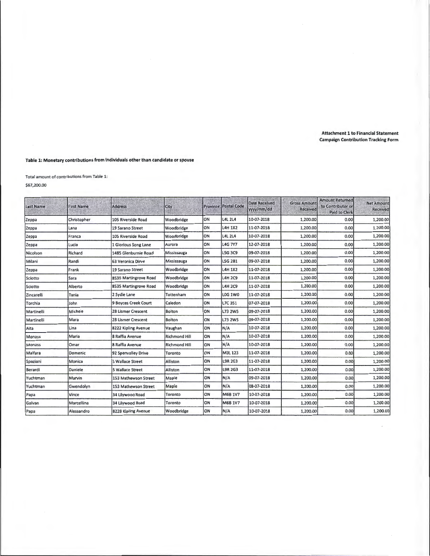**Attachment 1 to Financial Statement Campaign Contribution Tracking Form** 

Table 1: Monetary contributions from individuals other than candidate or spouse

Total amount of contributions from Table 1: \$67,200.00

| Last Name  | <b>First Name</b> | <b>Address</b>          | City                 |           | <b>Province Postal Code</b> | <b>Date Received</b><br>yyy/mm/dd | <b>Gross Amount</b><br><b>Received</b> | <b>Amount Returned</b><br>to Contributor or<br>Paid to Clerk | <b>Net Amount</b><br>Received |
|------------|-------------------|-------------------------|----------------------|-----------|-----------------------------|-----------------------------------|----------------------------------------|--------------------------------------------------------------|-------------------------------|
| Zeppa      | Christopher       | 105 Riverside Road      | Woodbridge           | ON        | <b>L4L 2L4</b>              | 10-07-2018                        | 1,200.00                               | 0.00                                                         | 1,200.00                      |
| Zeppa      | Lana              | 19 Sarano Street        | Woodbridge           | ON        | <b>L4H 1X2</b>              | 11-07-2018                        | 1,200.00                               | 0.00                                                         | 1,200.00                      |
| Zeppa      | Franca            | 105 Riverside Road      | Woodbridge           | ON        | L4L 2L4                     | 10-07-2018                        | 1,200.00                               | 0.00                                                         | 1,200.00                      |
| Zeppa      | Lucia             | 1 Glorious Song Lane    | Aurora               | <b>ON</b> | <b>L4G 7Y7</b>              | 12-07-2018                        | 1,200.00                               | 0.00                                                         | 1,200.00                      |
| Nicolson   | Richard           | 1485 Glenburnie Road    | Mississauga          | ON        | <b>LSG 3C9</b>              | 09-07-2018                        | 1,200.00                               | 0.00                                                         | 1,200.00                      |
| Milani     | Randi             | 63 Veronica Dirve       | Mississauga          | ON        | <b>LSG 2B1</b>              | 09-07-2018                        | 1,200.00                               | 0.00                                                         | 1,200.00                      |
| Zeppa      | Frank             | 19 Sarano Street        | Woodbridge           | <b>ON</b> | <b>L4H 1X2</b>              | 11-07-2018                        | 1,200.00                               | 0.00                                                         | 1,200.00                      |
| Sciotto    | Sara              | 8535 Martingrove Road   | Woodbridge           | ON        | <b>L4H 2C9</b>              | 11-07-2018                        | 1,200.00                               | 0.00                                                         | 1,200.00                      |
| Sciotto    | Alberto           | 8535 Martingrove Road   | Woodbridge           | ON        | <b>L4H 2C9</b>              | 11-07-2018                        | 1,200.00                               | 0.00                                                         | 1,200.00                      |
| Zincarelli | Tania             | 2 Sydie Lane            | Tottenham            | ON        | <b>LOG 1WO</b>              | 11-07-2018                        | 1,200.00                               | 0.00                                                         | 1,200.00                      |
| Torchia    | John              | 9 Boyces Creek Court    | Caledon              | ON        | L7C 351                     | 07-07-2018                        | 1,200.00                               | 0.00                                                         | 1,200.00                      |
| Martinelli | Michele           | 28 Lismer Crescent      | <b>Bolton</b>        | ON        | L73 2W5                     | 09-07-2018                        | 1,200.00                               | 0.00                                                         | 1,200.00                      |
| Martinelli | Mara              | 28 Lismer Crescent      | Bolton               | ON        | <b>L73 2WS</b>              | 09-07-2018                        | 1,200.00                               | 0.00                                                         | 1,200.00                      |
| Aita       | Lina              | 8222 Kipling Avenue     | Vaughan              | ON        | N/A                         | 10-07-2018                        | 1,200.00                               | 0.00                                                         | 1,200.00                      |
| Monass     | Maria             | 8 Raffia Avenue         | <b>Richmond Hill</b> | ON        | N/A                         | 10-07-2018                        | 1,200.00                               | 0.00                                                         | 1,200.00                      |
| Monass     | Omar              | 8 Raffia Avenue         | <b>Richmond Hill</b> | ON        | N/A                         | 10-07-2018                        | 1,200.00                               | 0.00                                                         | 1,200.00                      |
| Malfara    | Domenic           | 92 Spenvalley Drive     | Toronto              | ON        | M3L 123                     | 11-07-2018                        | 1,200.00                               | 0.00                                                         | 1,200.00                      |
| Spaziani   | Monica            | 5 Wallace Street        | Alliston             | ON        | <b>L9R 2G3</b>              | 11-07-2018                        | 1,200.00                               | 0.00                                                         | 1,200.00                      |
| Berardi    | Daniele           | <b>5 Wallace Street</b> | Alliston             | ON        | <b>L9R 2G3</b>              | 11-07-2018                        | 1,200.00                               | 0.00                                                         | 1,200.00                      |
| Yuchtman   | Marvin            | 153 Mathewson Street    | Maple                | ON        | N/A                         | 09-07-2018                        | 1,200.00                               | 0.00                                                         | 1,200.00                      |
| Yuchtman   | Gwendolyn         | 153 Mathewson Street    | Maple                | ON        | N/A                         | 08-07-2018                        | 1,200.00                               | 0.00                                                         | 1,200.00                      |
| Papa       | Vince             | 34 Lilywood Road        | Toronto              | ON        | M6B 1V7                     | 10-07-2018                        | 1,200.00                               | 0.00                                                         | 1,200.00                      |
| Galvan     | Marcellina        | 34 Lilywood Road        | Toronto              | ON        | M6B 1V7                     | 10-07-2018                        | 1,200.00                               | 0.00                                                         | 1,200.00                      |
| Papa       | Alessandro        | 8228 Kipling Avenue     | Woodbridge           | ON        | N/A                         | 10-07-2018                        | 1,200.00                               | 0.00                                                         | 1,200.00                      |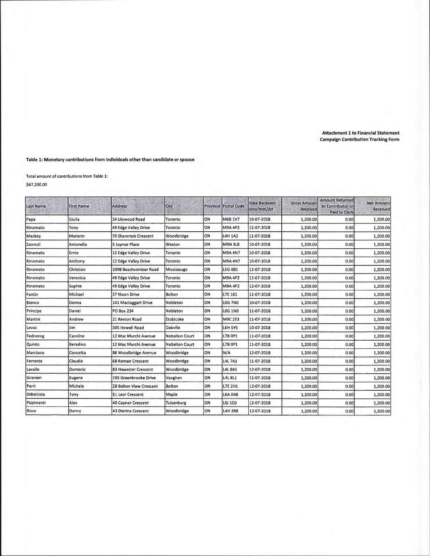Attachment 1 to Financial Statement Campaign Contribution Tracking Form

Table 1: Monetary contributions from individuals other than candidate or spouse

Total amount of contributions from Table 1: \$67,200.00

| Last Name  | <b>First Name</b> | <b>Address</b>            | City           |           | <b>Province Postal Code</b> | <b>Date Received</b><br>yyy/mm/dd | <b>Gross Amount</b><br><b>Received</b> | <b>Amount Returned</b><br>to Contributor or<br><b>Paid to Clerk</b> | <b>Net Amount</b><br><b>Received</b> |
|------------|-------------------|---------------------------|----------------|-----------|-----------------------------|-----------------------------------|----------------------------------------|---------------------------------------------------------------------|--------------------------------------|
| Papa       | Giulia            | 34 Lilywood Road          | Toronto        | <b>ON</b> | M6B 1V7                     | 10-07-2018                        | 1,200.00                               | 0.00                                                                | 1,200.00                             |
| Rinomato   | Tony              | 49 Edge Valley Drive      | Toronto        | ON        | M9A 4P2                     | 12-07-2018                        | 1,200.00                               | 0.00                                                                | 1,200.00                             |
| Mackey     | Mariann           | 70 Shamrock Crescent      | Woodbridge     | ON        | <b>L4H 1A3</b>              | 11-07-2018                        | 1,200.00                               | 0.00                                                                | 1,200.00                             |
| Zannuti    | Antonella         | 3 Jaymar Place            | Weston         | ON        | <b>M9N 3L8</b>              | 10-07-2018                        | 1,200.00                               | 0.00                                                                | 1,200.00                             |
| Rinomato   | Ernie             | 12 Edge Valley Drive      | Toronto        | ON        | <b>M9A 4N7</b>              | 10-07-2018                        | 1,200.00                               | 0.00                                                                | 1,200.00                             |
| Rinomato   | Anthony           | 12 Edge Valley Drive      | Toronto        | ON        | <b>M9A 4N7</b>              | 10-07-2018                        | 1,200.00                               | 0.00                                                                | 1,200.00                             |
| Rinomato   | Christian         | 1098 Beachcomber Road     | Mississauga    | ON        | <b>L5G 0B1</b>              | 12-07-2018                        | 1,200.00                               | 0.00                                                                | 1,200.00                             |
| Rinomato   | Veronica          | 49 Edge Valley Drive      | Toronto        | ON        | <b>M9A 4P2</b>              | 12-07-2018                        | 1,200.00                               | 0.00                                                                | 1,200.00                             |
| Rinomato   | Sophie            | 49 Edge Valley Drive      | Toronto        | ON        | <b>M9A 4P2</b>              | 12-07-2018                        | 1,200.00                               | 0.00                                                                | 1,200.00                             |
| Fantin     | Michael           | 37 Nixon Drive            | Bolton         | ON        | <b>L7E 1K1</b>              | 11-07-2018                        | 1,200.00                               | 0.00                                                                | 1,200.00                             |
| Bianco     | Donna             | 141 Mactaggart Drive      | Nobleton       | ON        | <b>LOG 7NO</b>              | 10-07-2018                        | 1,200.00                               | 0.00                                                                | 1,200.00                             |
| Principe   | Daniel            | PO Box 234                | Nobleton       | lon       | <b>LOG 1NO</b>              | 11-07-2018                        | 1,200.00                               | 0.00                                                                | 1,200.00                             |
| Martini    | Andrew            | 21 Rexton Road            | Etobicoke      | ON        | <b>M9C 2E3</b>              | 11-07-2018                        | 1,200.00                               | 0.00                                                                | 1,200.00                             |
| Levac      | Jim               | 305 Howell Road           | Oakville       | ON        | L6H SYS                     | 10-07-2018                        | 1,200.00                               | 0.00                                                                | 1,200.00                             |
| Fednorog   | Caroline          | 12 Mac Murchi Avenue      | Nobalton Court | ON        | L7B OP1                     | 11-07-2018                        | 1,200.00                               | 0.00                                                                | 1,200.00                             |
| Quinto     | Beradino          | 12 Mac Murchi Avenue      | Nobalton Court | ON        | L7B OP1                     | 11-07-2018                        | 1,200.00                               | 0.00                                                                | 1,200.00                             |
| Marciano   | Concetta          | 86 Woodbridge Avenue      | Woodbridge     | ON        | N/A                         | 12-07-2018                        | 1,200.00                               | 0.00                                                                | 1,200.00                             |
| Ferrante   | Claudio           | <b>68 Romeo Crescent</b>  | Woodbridge     | ON        | <b>L4L 7A1</b>              | 11-07-2018                        | 1,200.00                               | 0.00                                                                | 1,200.00                             |
| Lavalle    | Domenic           | 83 Hawester Crescent      | Woodbridge     | ON        | <b>L4L 841</b>              | 12-07-2018                        | 1,200.00                               | 0.00                                                                | 1,200.00                             |
| Granieri   | Eugene            | 195 Greenbrooke Drive     | Vaughan        | ON        | <b>L4L 8L1</b>              | 11-07-2018                        | 1,200.00                               | 0.00                                                                | 1,200.00                             |
| Perri      | Michele           | 28 Bolton View Crescent   | Bolton         | ON        | <b>L7E 2H1</b>              | 12-07-2018                        | 1,200.00                               | 0.00                                                                | 1,200.00                             |
| DiBattista | Tony              | 51 Leor Crescent          | Maple          | ON        | <b>L6A 0A8</b>              | 12-07-2018                        | 1,200.00                               | 0.00                                                                | 1,200.00                             |
| Pizzimenti | Alex              | <b>40 Capner Crescent</b> | Tulsenburg     | ON        | <b>LOJ 1CO</b>              | 12-07-2018                        | 1,200.00                               | 0.00                                                                | 1,200.00                             |
| Rizzo      | Danny             | 43 Dierina Crescent       | Woodbridge     | ON        | <b>L4H 2R8</b>              | 12-07-2018                        | 1,200.00                               | 0.00                                                                | 1,200.00                             |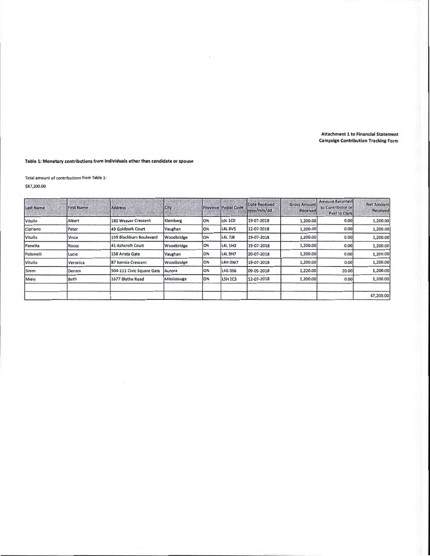**Attachment 1 to Financial Statement Campaign Contribution Tracking Form** 

Table 1: Monetary contributions from individuals other than candidate or spouse

Total amount of contributions from Table 1: \$67,200.00

| Last Name  | <b>First Name</b> | Address                   | City        |    | <b>Province Postal Code</b> | Date Received<br>lyyyy/mm/dd | <b>Gross Amount</b><br>Received | <b>Amount Returned</b><br>to Contributor or<br>Paid to Clerk | <b>Net Amount</b><br>Received |
|------------|-------------------|---------------------------|-------------|----|-----------------------------|------------------------------|---------------------------------|--------------------------------------------------------------|-------------------------------|
| Vitullo    | Albert            | 180 Weaver Crescent       | Kleinberg   | ON | LOJ 1CO                     | 19-07-2018                   | 1,200.00                        | 0.00                                                         | 1,200.00                      |
| Cipriano   | Peter             | 49 Goldpark Court         | Vaughan     | ON | <b>L4L 8V5</b>              | 12-07-2018                   | 1,200.00                        | 0.00                                                         | 1,200.00                      |
| Vitullo    | Vince             | 159 Blackburn Boulevard   | Woodbridge  | ON | <b>L4L 7J8</b>              | 19-07-2018                   | 1,200.00                        | 0.00                                                         | 1,200.00                      |
| Panetta    | Rocco             | 41 Ashcroft Court         | Woodbridge  | ON | L4L 1H3                     | 19-07-2018                   | 1,200.00                        | 0.00                                                         | 1,200.00                      |
| Polsinelli | Lucio             | 158 Arista Gate           | Vaughan     | ON | <b>L4L 9H7</b>              | 20-07-2018                   | 1,200.00                        | 0.00                                                         | 1,200.00                      |
| Vitullo    | Veronica          | 87 Isernia Crescent       | Woodbridge  | ON | <b>L4H 0W7</b>              | 19-07-2018                   | 1,200.00                        | 0.00                                                         | 1,200.00                      |
| Simm       | Dennis            | 504-111 Civic Square Gate | Aurora      | ON | <b>L4G 0S6</b>              | 09-05-2018                   | 1,220.00                        | 20.00                                                        | 1,200.00                      |
| Miele      | Beth              | 1677 Blythe Road          | Mississauga | ON | <b>LSH 2C3</b>              | 12-07-2018                   | 1,200.00                        | 0.00                                                         | 1,200.00                      |
|            |                   |                           |             |    |                             |                              |                                 |                                                              | 67,200.00                     |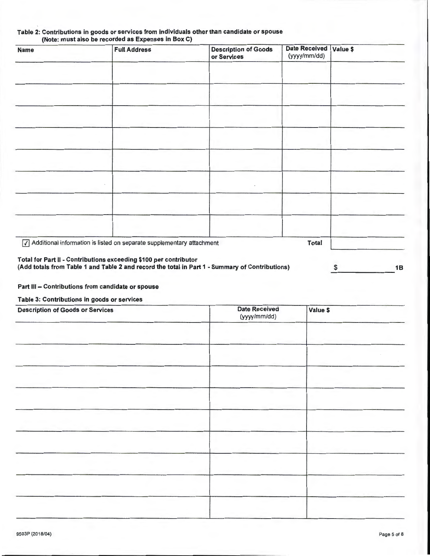|                                                                       | (yyyy/mm/dd) | Value \$ |  |
|-----------------------------------------------------------------------|--------------|----------|--|
|                                                                       |              |          |  |
|                                                                       |              |          |  |
|                                                                       |              |          |  |
|                                                                       |              |          |  |
|                                                                       |              |          |  |
|                                                                       |              |          |  |
|                                                                       |              |          |  |
|                                                                       |              |          |  |
|                                                                       |              |          |  |
|                                                                       |              |          |  |
| Additional information is listed on separate supplementary attachment | <b>Total</b> |          |  |

### Table 2: Contributions in goods or services from individuals other than candidate or spouse (Note: must also be recorded as Expenses in Box C)

Part III - Contributions from candidate or spouse

## Table 3: Contributions in goods or services

| <b>Description of Goods or Services</b> | <b>Date Received</b><br>(yyyy/mm/dd) | Value \$ |
|-----------------------------------------|--------------------------------------|----------|
|                                         |                                      |          |
|                                         |                                      |          |
|                                         |                                      |          |
|                                         |                                      |          |
|                                         |                                      |          |
|                                         |                                      |          |
|                                         |                                      |          |
|                                         |                                      |          |
|                                         |                                      |          |
|                                         |                                      |          |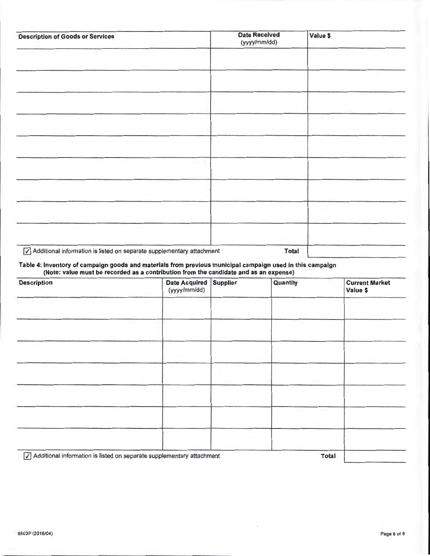| <b>Description of Goods or Services</b>                               | <b>Date Received</b><br>(yyyy/mm/dd) | Value \$ |  |
|-----------------------------------------------------------------------|--------------------------------------|----------|--|
|                                                                       |                                      |          |  |
|                                                                       |                                      |          |  |
|                                                                       |                                      |          |  |
|                                                                       |                                      |          |  |
|                                                                       |                                      |          |  |
|                                                                       |                                      |          |  |
|                                                                       |                                      |          |  |
|                                                                       |                                      |          |  |
|                                                                       |                                      |          |  |
|                                                                       |                                      |          |  |
|                                                                       |                                      |          |  |
| Additional information is listed on separate supplementary attachment | Total                                |          |  |

Table 4: Inventory of campaign goods and materials from previous municipal campaign used in this campaign (Note: value must be recorded as a contribution from the candidate and as an expense)

| <b>Description</b> | <b>Date Acquired</b><br>(yyyy/mm/dd)                                    | Supplier | Quantity | <b>Current Market</b><br>Value \$ |
|--------------------|-------------------------------------------------------------------------|----------|----------|-----------------------------------|
|                    |                                                                         |          |          |                                   |
|                    |                                                                         |          |          |                                   |
|                    |                                                                         |          |          |                                   |
|                    |                                                                         |          |          |                                   |
|                    |                                                                         |          |          |                                   |
|                    |                                                                         |          |          |                                   |
|                    |                                                                         |          |          |                                   |
|                    | √ Additional information is listed on separate supplementary attachment |          |          | <b>Total</b>                      |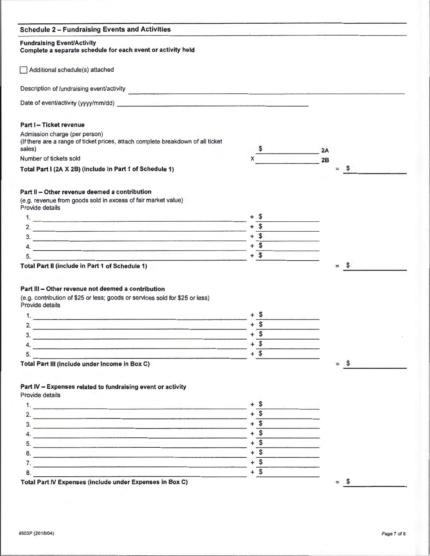| <b>Schedule 2 - Fundraising Events and Activities</b>                                                                                                                                                                                                                                                                                                                                                                                                                                                                                                                                                                                                             |                               |                  |
|-------------------------------------------------------------------------------------------------------------------------------------------------------------------------------------------------------------------------------------------------------------------------------------------------------------------------------------------------------------------------------------------------------------------------------------------------------------------------------------------------------------------------------------------------------------------------------------------------------------------------------------------------------------------|-------------------------------|------------------|
| <b>Fundraising Event/Activity</b><br>Complete a separate schedule for each event or activity held                                                                                                                                                                                                                                                                                                                                                                                                                                                                                                                                                                 |                               |                  |
| Additional schedule(s) attached                                                                                                                                                                                                                                                                                                                                                                                                                                                                                                                                                                                                                                   |                               |                  |
| Description of fundraising event/activity<br>the contract of the contract of the contract of the contract of the contract of the contract of                                                                                                                                                                                                                                                                                                                                                                                                                                                                                                                      |                               |                  |
| Date of event/activity (yyyy/mm/dd) example and the contract of event/activity (yyyy/mm/dd)                                                                                                                                                                                                                                                                                                                                                                                                                                                                                                                                                                       |                               |                  |
| Part I - Ticket revenue                                                                                                                                                                                                                                                                                                                                                                                                                                                                                                                                                                                                                                           |                               |                  |
| Admission charge (per person)<br>(If there are a range of ticket prices, attach complete breakdown of all ticket<br>sales)                                                                                                                                                                                                                                                                                                                                                                                                                                                                                                                                        |                               |                  |
| Number of tickets sold                                                                                                                                                                                                                                                                                                                                                                                                                                                                                                                                                                                                                                            |                               | 2A               |
| Total Part I (2A X 2B) (include in Part 1 of Schedule 1)                                                                                                                                                                                                                                                                                                                                                                                                                                                                                                                                                                                                          |                               | 2B<br>- 5<br>$=$ |
| Part II - Other revenue deemed a contribution                                                                                                                                                                                                                                                                                                                                                                                                                                                                                                                                                                                                                     |                               |                  |
| (e.g. revenue from goods sold in excess of fair market value)<br>Provide details                                                                                                                                                                                                                                                                                                                                                                                                                                                                                                                                                                                  |                               |                  |
|                                                                                                                                                                                                                                                                                                                                                                                                                                                                                                                                                                                                                                                                   |                               |                  |
|                                                                                                                                                                                                                                                                                                                                                                                                                                                                                                                                                                                                                                                                   | $+$ \$                        |                  |
| 2.                                                                                                                                                                                                                                                                                                                                                                                                                                                                                                                                                                                                                                                                | $+$ \$                        |                  |
| $\frac{3}{2}$                                                                                                                                                                                                                                                                                                                                                                                                                                                                                                                                                                                                                                                     | $+$ \$                        |                  |
|                                                                                                                                                                                                                                                                                                                                                                                                                                                                                                                                                                                                                                                                   | $+$ \$                        |                  |
| 5.<br><u> Karl III. (1989) en la provincia de la provincia de la provincia de la provincia de la provincia de la provincia de la provincia de la provincia de la provincia de la provincia de la provincia de la provincia de la provi</u><br>Total Part II (include in Part 1 of Schedule 1)                                                                                                                                                                                                                                                                                                                                                                     |                               | \$<br>$=$        |
| Part III - Other revenue not deemed a contribution<br>(e.g. contribution of \$25 or less; goods or services sold for \$25 or less)<br>Provide details<br>2.<br>and the company of the company of the company of the company of the company of the company of the company of the<br>3.<br><u> 1957 - Alexandria III, prima populație de la provincia de la provincia de la provincia de la provincia de la</u><br>4.<br><u> Andrew Maria (1989), a component de la componentación de la componentación de la componentación de la componentación de la componentación de la componentación de la componentación de la componentación de la componentació</u><br>5. | $\ddot{}$<br>$+$ \$<br>$+$ \$ |                  |
| Total Part III (include under Income in Box C)                                                                                                                                                                                                                                                                                                                                                                                                                                                                                                                                                                                                                    |                               | $=$ \$           |
|                                                                                                                                                                                                                                                                                                                                                                                                                                                                                                                                                                                                                                                                   |                               |                  |
|                                                                                                                                                                                                                                                                                                                                                                                                                                                                                                                                                                                                                                                                   |                               |                  |
|                                                                                                                                                                                                                                                                                                                                                                                                                                                                                                                                                                                                                                                                   | $+$ \$                        |                  |
|                                                                                                                                                                                                                                                                                                                                                                                                                                                                                                                                                                                                                                                                   | $+$ \$                        |                  |
| 2. $\blacksquare$                                                                                                                                                                                                                                                                                                                                                                                                                                                                                                                                                                                                                                                 | $+$ \$                        |                  |
| $\frac{1}{2}$                                                                                                                                                                                                                                                                                                                                                                                                                                                                                                                                                                                                                                                     | $+$ \$                        |                  |
| $\mathbf{4.}$                                                                                                                                                                                                                                                                                                                                                                                                                                                                                                                                                                                                                                                     |                               |                  |
| 5.                                                                                                                                                                                                                                                                                                                                                                                                                                                                                                                                                                                                                                                                | $+$ \$                        |                  |
| 6.                                                                                                                                                                                                                                                                                                                                                                                                                                                                                                                                                                                                                                                                | $+$ \$                        |                  |
| Part IV - Expenses related to fundraising event or activity<br>Provide details<br>$\overline{7}$ .<br>8.                                                                                                                                                                                                                                                                                                                                                                                                                                                                                                                                                          | $+$ \$<br>$+$ \$              |                  |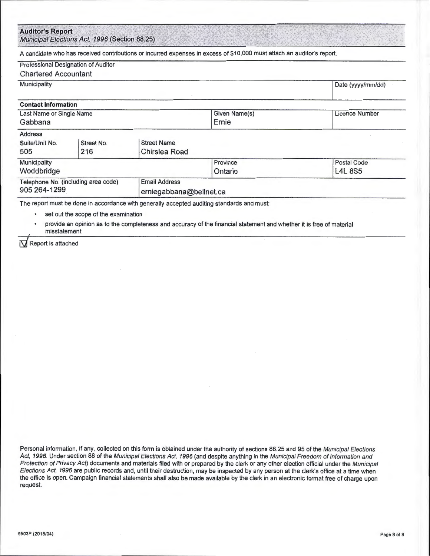|  |  | <b>Auditor's Report</b> |  |  |  |
|--|--|-------------------------|--|--|--|
|  |  |                         |  |  |  |
|  |  |                         |  |  |  |
|  |  |                         |  |  |  |

Municipal Elections Act, 1996 (Section 88.25)

A candidate who has received contributions or incurred expenses in excess of \$10,000 must attach an auditor's report.

### Professional Designation of Auditor

### Chartered Accountant

Municipality Date (yyyy/mm/dd)

| <b>Contact Information</b>                                                  |            |                         |                |                |
|-----------------------------------------------------------------------------|------------|-------------------------|----------------|----------------|
| Last Name or Single Name                                                    |            |                         | Given Name(s)  | Licence Number |
| Gabbana                                                                     |            |                         | Ernie          |                |
| <b>Address</b>                                                              |            |                         |                |                |
| Suite/Unit No.                                                              | Street No. | <b>Street Name</b>      |                |                |
| 505                                                                         | 216        | Chirslea Road           |                |                |
| Municipality                                                                |            |                         | Province       | Postal Code    |
| Woddbridge                                                                  |            | Ontario                 | <b>L4L 8S5</b> |                |
| Telephone No. (including area code)<br><b>Email Address</b><br>905 264-1299 |            |                         |                |                |
|                                                                             |            | erniegabbana@bellnet.ca |                |                |

The report must be done in accordance with generally accepted auditing standards and must:

set out the scope of the examination  $\bullet$ 

provide an opinion as to the completeness and accuracy of the financial statement and whether it is free of material misstatement

Report is attached

Personal information, if any, collected on this form is obtained under the authority of sections 88.25 and 95 of the Municipal Elections Act, 1996. Under section 88 of the Municipal Elections Act, 1996 (and despite anything in the Municipal Freedom of Information and Protection of Privacy Act) documents and materials filed with or prepared by the clerk or any other election official under the Municipal Elections Act, 1996 are public records and, until their destruction, may be inspected by any person at the clerk's office at a time when the office is open. Campaign financial statements shall also be made available by the clerk in an electronic format free of charge upon request.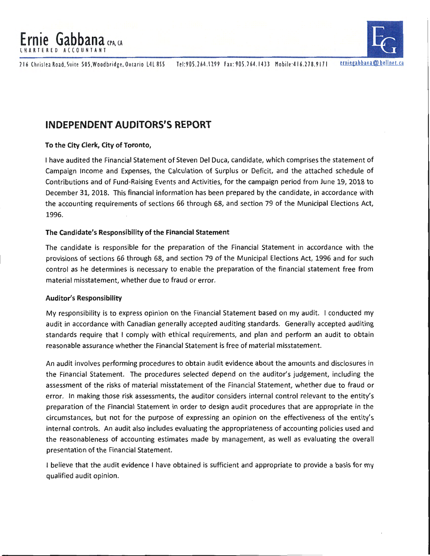

216 Chrislea Road, Suite 505, Woodbridge, Ontario L4L8S5 Tel:905.264.1299 Fax: 905.264.1433 Mobile:416.278.9171 erniegabbana@ bellnet.ca

# **INDEPENDENT AUDITORS'S REPORT**

# **To the City Clerk, City of Toronto,**

I have audited the Financial Statement of Steven Del Duca, candidate, which comprises the statement of Campaign Income and Expenses, the Calculation of Surplus or Deficit, and the attached schedule of Contributions and of Fund-Raising Events and Activities, for the campaign period from June 19, 2018 to December 31, 2018. This financial information has been prepared by the candidate, in accordance with the accounting requirements of sections 66 through 68, and section 79 of the Municipal Elections Act, 1996.

# **The Candidate's Responsibility of the Financial Statement**

The candidate is responsible for the preparation of the Financial Statement in accordance with the provisions of sections 66 through 68, and section 79 of the Municipal Elections Act, 1996 and for such control as he determines is necessary to enable the preparation of the financial statement free from material misstatement, whether due to fraud or error.

# **Auditor's Responsibility**

My responsibility is to express opinion on the Financial Statement based on my audit. I conducted my audit in accordance with Canadian generally accepted auditing standards. Generally accepted auditing standards require that I comply with ethical requirements, and plan and perform an audit to obtain reasonable assurance whether the Financial Statement is free of material misstatement.

An audit involves performing procedures to obtain audit evidence about the amounts and disclosures in the Financial Statement. The procedures selected depend on the auditor's judgement, including the assessment of the risks of material misstatement of the Financial Statement, whether due to fraud or error. In making those risk assessments, the auditor considers internal control relevant to the entity's preparation of the Financial Statement in order to design audit procedures that are appropriate in the circumstances, but not for the purpose of expressing an opinion on the effectiveness of the entity's internal controls. An audit also includes evaluating the appropriateness of accounting policies used and the reasonableness of accounting estimates made by management, as well as evaluating the overall presentation of the Financial Statement.

I believe that the audit evidence I have obtained is sufficient and appropriate to provide a basis for my qualified audit opinion.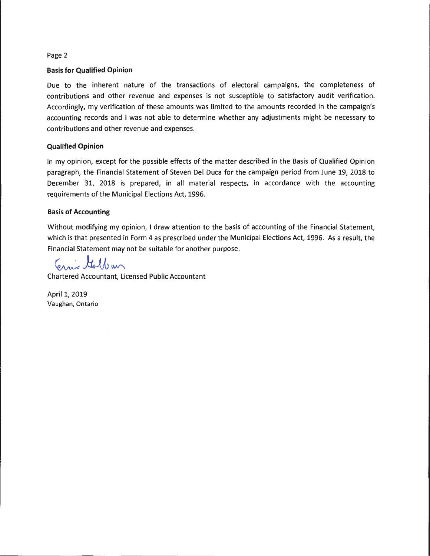### Page 2

# Basis for Qualified Opinion

Due to the inherent nature of the transactions of electoral campaigns, the completeness of contributions and other revenue and expenses is not susceptible to satisfactory audit verification. Accordingly, my verification of these amounts was limited to the amounts recorded in the campaign's accounting records and I was not able to determine whether any adjustments might be necessary to contributions and other revenue and expenses.

### Qualified Opinion

In my opinion, except for the possible effects of the matter described in the Basis of Qualified Opinion paragraph, the Financial Statement of Steven Del Duca for the campaign period from June 19, 2018 to December 31, 2018 is prepared, in all material respects, in accordance with the accounting requirements of the Municipal Elections Act, 1996.

### Basis of Accounting

Without modifying my opinion, I draw attention to the basis of accounting of the Financial Statement, which is that presented in Form 4 as prescribed under the Municipal Elections Act, 1996. As a result, the Financial Statement may not be suitable for another purpose.

Errio Golban

Chartered Accountant, Licensed Public Accountant

April 1, 2019 Vaughan, Ontario